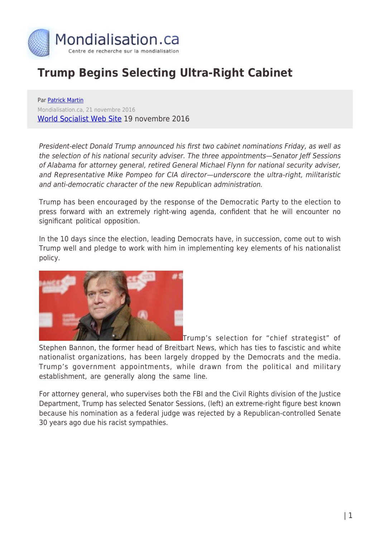

## **Trump Begins Selecting Ultra-Right Cabinet**

Par [Patrick Martin](https://www.mondialisation.ca/author/patrick-martin) Mondialisation.ca, 21 novembre 2016 [World Socialist Web Site](http://www.wsws.org/en/articles/2016/11/19/trum-n19.html) 19 novembre 2016

President-elect Donald Trump announced his first two cabinet nominations Friday, as well as the selection of his national security adviser. The three appointments—Senator Jeff Sessions of Alabama for attorney general, retired General Michael Flynn for national security adviser, and Representative Mike Pompeo for CIA director—underscore the ultra-right, militaristic and anti-democratic character of the new Republican administration.

Trump has been encouraged by the response of the Democratic Party to the election to press forward with an extremely right-wing agenda, confident that he will encounter no significant political opposition.

In the 10 days since the election, leading Democrats have, in succession, come out to wish Trump well and pledge to work with him in implementing key elements of his nationalist policy.



Trump's selection for "chief strategist" of

Stephen Bannon, the former head of Breitbart News, which has ties to fascistic and white nationalist organizations, has been largely dropped by the Democrats and the media. Trump's government appointments, while drawn from the political and military establishment, are generally along the same line.

For attorney general, who supervises both the FBI and the Civil Rights division of the Justice Department, Trump has selected Senator Sessions, (left) an extreme-right figure best known because his nomination as a federal judge was rejected by a Republican-controlled Senate 30 years ago due his racist sympathies.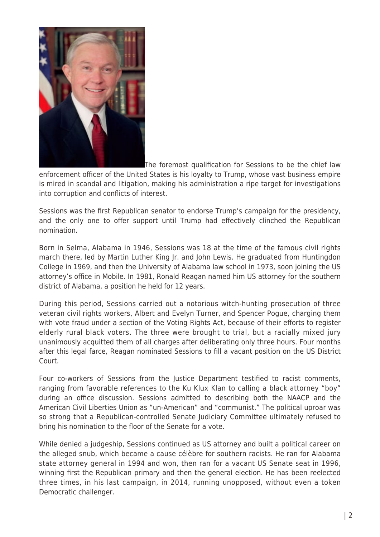

The foremost qualification for Sessions to be the chief law

enforcement officer of the United States is his loyalty to Trump, whose vast business empire is mired in scandal and litigation, making his administration a ripe target for investigations into corruption and conflicts of interest.

Sessions was the first Republican senator to endorse Trump's campaign for the presidency, and the only one to offer support until Trump had effectively clinched the Republican nomination.

Born in Selma, Alabama in 1946, Sessions was 18 at the time of the famous civil rights march there, led by Martin Luther King Jr. and John Lewis. He graduated from Huntingdon College in 1969, and then the University of Alabama law school in 1973, soon joining the US attorney's office in Mobile. In 1981, Ronald Reagan named him US attorney for the southern district of Alabama, a position he held for 12 years.

During this period, Sessions carried out a notorious witch-hunting prosecution of three veteran civil rights workers, Albert and Evelyn Turner, and Spencer Pogue, charging them with vote fraud under a section of the Voting Rights Act, because of their efforts to register elderly rural black voters. The three were brought to trial, but a racially mixed jury unanimously acquitted them of all charges after deliberating only three hours. Four months after this legal farce, Reagan nominated Sessions to fill a vacant position on the US District Court.

Four co-workers of Sessions from the Justice Department testified to racist comments, ranging from favorable references to the Ku Klux Klan to calling a black attorney "boy" during an office discussion. Sessions admitted to describing both the NAACP and the American Civil Liberties Union as "un-American" and "communist." The political uproar was so strong that a Republican-controlled Senate Judiciary Committee ultimately refused to bring his nomination to the floor of the Senate for a vote.

While denied a judgeship, Sessions continued as US attorney and built a political career on the alleged snub, which became a cause célèbre for southern racists. He ran for Alabama state attorney general in 1994 and won, then ran for a vacant US Senate seat in 1996, winning first the Republican primary and then the general election. He has been reelected three times, in his last campaign, in 2014, running unopposed, without even a token Democratic challenger.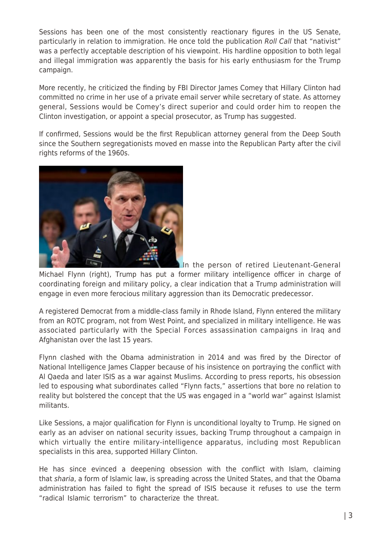Sessions has been one of the most consistently reactionary figures in the US Senate, particularly in relation to immigration. He once told the publication Roll Call that "nativist" was a perfectly acceptable description of his viewpoint. His hardline opposition to both legal and illegal immigration was apparently the basis for his early enthusiasm for the Trump campaign.

More recently, he criticized the finding by FBI Director James Comey that Hillary Clinton had committed no crime in her use of a private email server while secretary of state. As attorney general, Sessions would be Comey's direct superior and could order him to reopen the Clinton investigation, or appoint a special prosecutor, as Trump has suggested.

If confirmed, Sessions would be the first Republican attorney general from the Deep South since the Southern segregationists moved en masse into the Republican Party after the civil rights reforms of the 1960s.



In the person of retired Lieutenant-General Michael Flynn (right), Trump has put a former military intelligence officer in charge of coordinating foreign and military policy, a clear indication that a Trump administration will engage in even more ferocious military aggression than its Democratic predecessor.

A registered Democrat from a middle-class family in Rhode Island, Flynn entered the military from an ROTC program, not from West Point, and specialized in military intelligence. He was associated particularly with the Special Forces assassination campaigns in Iraq and Afghanistan over the last 15 years.

Flynn clashed with the Obama administration in 2014 and was fired by the Director of National Intelligence James Clapper because of his insistence on portraying the conflict with Al Qaeda and later ISIS as a war against Muslims. According to press reports, his obsession led to espousing what subordinates called "Flynn facts," assertions that bore no relation to reality but bolstered the concept that the US was engaged in a "world war" against Islamist militants.

Like Sessions, a major qualification for Flynn is unconditional loyalty to Trump. He signed on early as an adviser on national security issues, backing Trump throughout a campaign in which virtually the entire military-intelligence apparatus, including most Republican specialists in this area, supported Hillary Clinton.

He has since evinced a deepening obsession with the conflict with Islam, claiming that sharia, a form of Islamic law, is spreading across the United States, and that the Obama administration has failed to fight the spread of ISIS because it refuses to use the term "radical Islamic terrorism" to characterize the threat.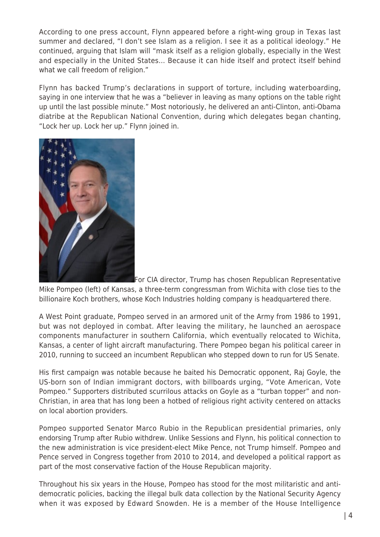According to one press account, Flynn appeared before a right-wing group in Texas last summer and declared, "I don't see Islam as a religion. I see it as a political ideology." He continued, arguing that Islam will "mask itself as a religion globally, especially in the West and especially in the United States… Because it can hide itself and protect itself behind what we call freedom of religion."

Flynn has backed Trump's declarations in support of torture, including waterboarding, saying in one interview that he was a "believer in leaving as many options on the table right up until the last possible minute." Most notoriously, he delivered an anti-Clinton, anti-Obama diatribe at the Republican National Convention, during which delegates began chanting, "Lock her up. Lock her up." Flynn joined in.



[F](http://www.globalresearch.ca/wp-content/uploads/2016/11/Mike_Pompeo_Official_Portrait_112th_Congress.jpg)or CIA director, Trump has chosen Republican Representative Mike Pompeo (left) of Kansas, a three-term congressman from Wichita with close ties to the billionaire Koch brothers, whose Koch Industries holding company is headquartered there.

A West Point graduate, Pompeo served in an armored unit of the Army from 1986 to 1991, but was not deployed in combat. After leaving the military, he launched an aerospace components manufacturer in southern California, which eventually relocated to Wichita, Kansas, a center of light aircraft manufacturing. There Pompeo began his political career in 2010, running to succeed an incumbent Republican who stepped down to run for US Senate.

His first campaign was notable because he baited his Democratic opponent, Raj Goyle, the US-born son of Indian immigrant doctors, with billboards urging, "Vote American, Vote Pompeo." Supporters distributed scurrilous attacks on Goyle as a "turban topper" and non-Christian, in area that has long been a hotbed of religious right activity centered on attacks on local abortion providers.

Pompeo supported Senator Marco Rubio in the Republican presidential primaries, only endorsing Trump after Rubio withdrew. Unlike Sessions and Flynn, his political connection to the new administration is vice president-elect Mike Pence, not Trump himself. Pompeo and Pence served in Congress together from 2010 to 2014, and developed a political rapport as part of the most conservative faction of the House Republican majority.

Throughout his six years in the House, Pompeo has stood for the most militaristic and antidemocratic policies, backing the illegal bulk data collection by the National Security Agency when it was exposed by Edward Snowden. He is a member of the House Intelligence